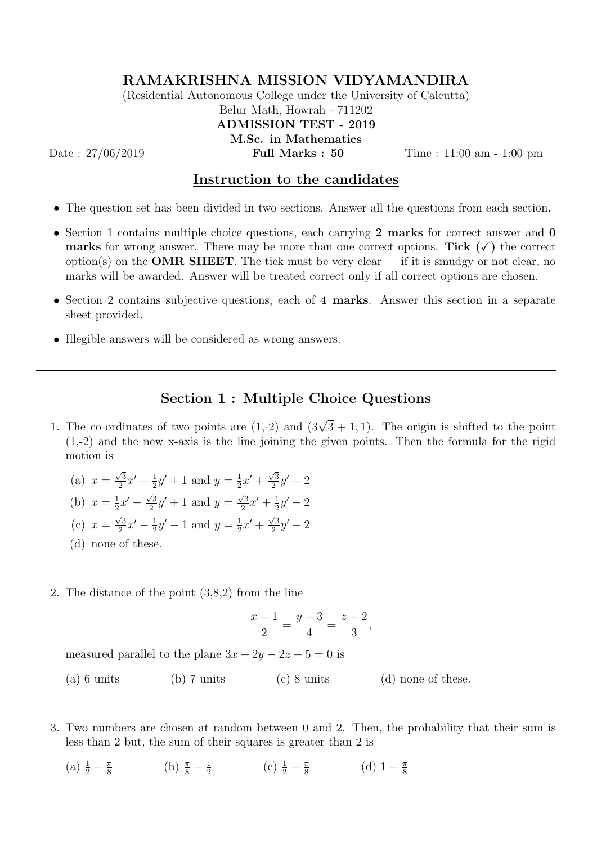## RAMAKRISHNA MISSION VIDYAMANDIRA

(Residential Autonomous College under the University of Calcutta) Belur Math, Howrah - 711202 ADMISSION TEST - 2019 M.Sc. in Mathematics

Date : 27/06/2019 **Full Marks : 50** Time : 11:00 am - 1:00 pm

## Instruction to the candidates

- The question set has been divided in two sections. Answer all the questions from each section.
- Section 1 contains multiple choice questions, each carrying 2 marks for correct answer and  $\mathbf{0}$ **marks** for wrong answer. There may be more than one correct options. Tick  $(\checkmark)$  the correct option(s) on the **OMR SHEET**. The tick must be very clear — if it is smudgy or not clear, no marks will be awarded. Answer will be treated correct only if all correct options are chosen.
- Section 2 contains subjective questions, each of 4 marks. Answer this section in a separate sheet provided.
- Illegible answers will be considered as wrong answers.

## Section 1 : Multiple Choice Questions

- 1. The co-ordinates of two points are  $(1,-2)$  and  $(3\sqrt{3}+1,1)$ . The origin is shifted to the point (1,-2) and the new x-axis is the line joining the given points. Then the formula for the rigid motion is
	- $(a)$   $x =$  $\sqrt{3}$  $\frac{\sqrt{3}}{2}x' - \frac{1}{2}$  $\frac{1}{2}y' + 1$  and  $y = \frac{1}{2}$  $rac{1}{2}x' + \frac{\sqrt{3}}{2}$  $\frac{\sqrt{3}}{2}y' - 2$ (b)  $x = \frac{1}{2}$  $rac{1}{2}x' - \frac{\sqrt{3}}{2}$  $\frac{\sqrt{3}}{2}y' + 1$  and  $y = \frac{\sqrt{3}}{2}$  $\frac{\sqrt{3}}{2}x' + \frac{1}{2}$  $\frac{1}{2}y' - 2$  $(c)$   $x =$  $\sqrt{3}$  $\frac{\sqrt{3}}{2}x' - \frac{1}{2}$  $\frac{1}{2}y' - 1$  and  $y = \frac{1}{2}$  $rac{1}{2}x' + \frac{\sqrt{3}}{2}$  $\frac{\sqrt{3}}{2}y' + 2$
	- (d) none of these.
- 2. The distance of the point (3,8,2) from the line

$$
\frac{x-1}{2} = \frac{y-3}{4} = \frac{z-2}{3},
$$

measured parallel to the plane  $3x + 2y - 2z + 5 = 0$  is

(a) 6 units (b) 7 units (c) 8 units (d) none of these.

- 3. Two numbers are chosen at random between 0 and 2. Then, the probability that their sum is less than 2 but, the sum of their squares is greater than 2 is
	- (a)  $\frac{1}{2} + \frac{\pi}{8}$  $\frac{\pi}{8}$  (b)  $\frac{\pi}{8} - \frac{1}{2}$  $rac{1}{2}$  (c)  $rac{1}{2} - \frac{\pi}{8}$  $\frac{\pi}{8}$  (d)  $1 - \frac{\pi}{8}$ 8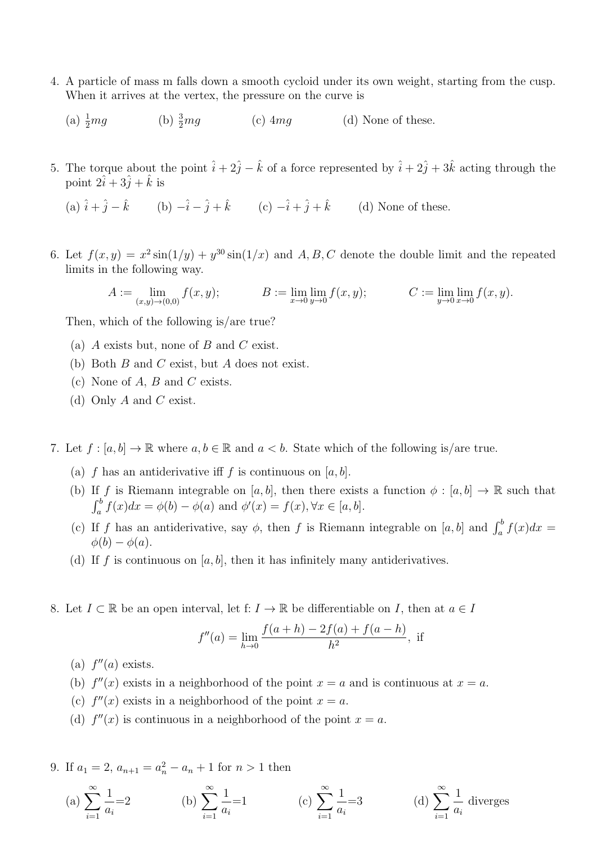- 4. A particle of mass m falls down a smooth cycloid under its own weight, starting from the cusp. When it arrives at the vertex, the pressure on the curve is
	- (a)  $\frac{1}{2}mg$ (b)  $\frac{3}{2}mg$ (c)  $4mg$  (d) None of these.
- 5. The torque about the point  $\hat{i} + 2\hat{j} \hat{k}$  of a force represented by  $\hat{i} + 2\hat{j} + 3\hat{k}$  acting through the point  $2\hat{i} + 3\hat{j} + \hat{k}$  is

(a) 
$$
\hat{i} + \hat{j} - \hat{k}
$$
 (b)  $-\hat{i} - \hat{j} + \hat{k}$  (c)  $-\hat{i} + \hat{j} + \hat{k}$  (d) None of these.

6. Let  $f(x,y) = x^2 \sin(1/y) + y^{30} \sin(1/x)$  and A, B, C denote the double limit and the repeated limits in the following way.

$$
A := \lim_{(x,y)\to(0,0)} f(x,y); \qquad B := \lim_{x\to 0} \lim_{y\to 0} f(x,y); \qquad C := \lim_{y\to 0} \lim_{x\to 0} f(x,y).
$$

Then, which of the following is/are true?

- (a) A exists but, none of B and C exist.
- (b) Both B and C exist, but A does not exist.
- (c) None of  $A, B$  and  $C$  exists.
- (d) Only  $A$  and  $C$  exist.
- 7. Let  $f : [a, b] \to \mathbb{R}$  where  $a, b \in \mathbb{R}$  and  $a < b$ . State which of the following is/are true.
	- (a) f has an antiderivative iff f is continuous on  $[a, b]$ .
	- (b) If f is Riemann integrable on  $[a, b]$ , then there exists a function  $\phi : [a, b] \to \mathbb{R}$  such that  $\int_a^b f(x)dx = \phi(b) - \phi(a)$  and  $\phi'(x) = f(x), \forall x \in [a, b].$
	- (c) If f has an antiderivative, say  $\phi$ , then f is Riemann integrable on [a, b] and  $\int_a^b f(x)dx =$  $\phi(b) - \phi(a)$ .
	- (d) If f is continuous on [a, b], then it has infinitely many antiderivatives.
- 8. Let  $I \subset \mathbb{R}$  be an open interval, let  $f: I \to \mathbb{R}$  be differentiable on I, then at  $a \in I$

$$
f''(a) = \lim_{h \to 0} \frac{f(a+h) - 2f(a) + f(a-h)}{h^2}
$$
, if

- (a)  $f''(a)$  exists.
- (b)  $f''(x)$  exists in a neighborhood of the point  $x = a$  and is continuous at  $x = a$ .
- (c)  $f''(x)$  exists in a neighborhood of the point  $x = a$ .
- (d)  $f''(x)$  is continuous in a neighborhood of the point  $x = a$ .

9. If  $a_1 = 2$ ,  $a_{n+1} = a_n^2 - a_n + 1$  for  $n > 1$  then

(a) 
$$
\sum_{i=1}^{\infty} \frac{1}{a_i} = 2
$$
 (b)  $\sum_{i=1}^{\infty} \frac{1}{a_i} = 1$  (c)  $\sum_{i=1}^{\infty} \frac{1}{a_i} = 3$  (d)  $\sum_{i=1}^{\infty} \frac{1}{a_i}$  diverges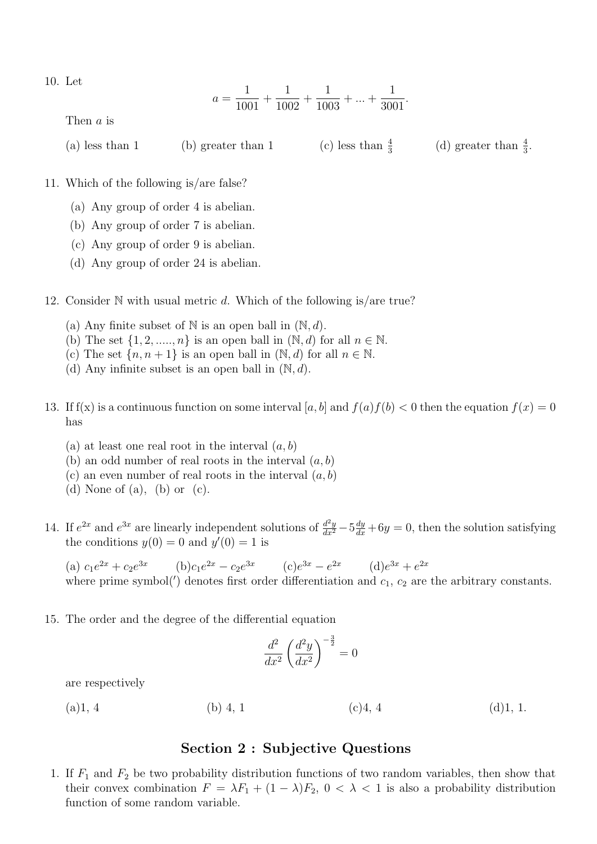10. Let

$$
a = \frac{1}{1001} + \frac{1}{1002} + \frac{1}{1003} + \dots + \frac{1}{3001}.
$$

Then a is

| $(a)$ less than 1<br>$(b)$ greater than 1 | (c) less than $\frac{4}{3}$ | (d) greater than $\frac{4}{3}$ . |
|-------------------------------------------|-----------------------------|----------------------------------|
|-------------------------------------------|-----------------------------|----------------------------------|

11. Which of the following is/are false?

- (a) Any group of order 4 is abelian.
- (b) Any group of order 7 is abelian.
- (c) Any group of order 9 is abelian.
- (d) Any group of order 24 is abelian.
- 12. Consider  $N$  with usual metric d. Which of the following is/are true?
	- (a) Any finite subset of  $N$  is an open ball in  $(N, d)$ .
	- (b) The set  $\{1, 2, \ldots, n\}$  is an open ball in  $(\mathbb{N}, d)$  for all  $n \in \mathbb{N}$ .
	- (c) The set  $\{n, n+1\}$  is an open ball in  $(\mathbb{N}, d)$  for all  $n \in \mathbb{N}$ .
	- (d) Any infinite subset is an open ball in  $(N, d)$ .
- 13. If  $f(x)$  is a continuous function on some interval [a, b] and  $f(a)f(b) < 0$  then the equation  $f(x) = 0$ has
	- (a) at least one real root in the interval  $(a, b)$
	- (b) an odd number of real roots in the interval  $(a, b)$
	- (c) an even number of real roots in the interval  $(a, b)$
	- (d) None of (a), (b) or (c).
- 14. If  $e^{2x}$  and  $e^{3x}$  are linearly independent solutions of  $\frac{d^2y}{dx^2} 5\frac{dy}{dx} + 6y = 0$ , then the solution satisfying the conditions  $y(0) = 0$  and  $y'(0) = 1$  is

(a)  $c_1e^{2x} + c_2e^{3x}$  (b) $c_1e^{2x} - c_2e^{3x}$  (c) $e^{3x} - e^{2x}$  (d) $e^{3x} + e^{2x}$ where prime symbol( $'$ ) denotes first order differentiation and  $c_1$ ,  $c_2$  are the arbitrary constants.

15. The order and the degree of the differential equation

$$
\frac{d^2}{dx^2} \left(\frac{d^2y}{dx^2}\right)^{-\frac{3}{2}} = 0
$$

are respectively

(a)1, 4 (b) 4, 1 (c)4, 4 (d)1, 1.

## Section 2 : Subjective Questions

1. If  $F_1$  and  $F_2$  be two probability distribution functions of two random variables, then show that their convex combination  $F = \lambda F_1 + (1 - \lambda)F_2$ ,  $0 < \lambda < 1$  is also a probability distribution function of some random variable.